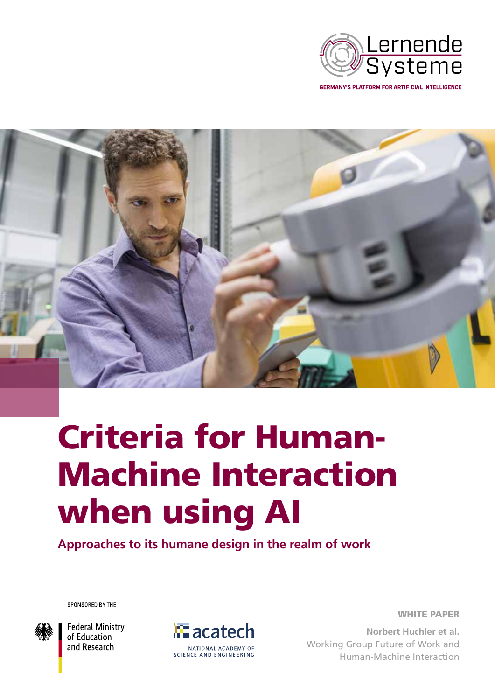

**GERMANY'S PLATFORM FOR ARTIFICIAL INTELLIGENCE** 



# Criteria for Human-Machine Interaction when using AI

**Approaches to its humane design in the realm of work**

SPONSORED BY THE



**Federal Ministry** of Education and Research



WHITE PAPER

**Norbert Huchler et al.** Working Group Future of Work and Human-Machine Interaction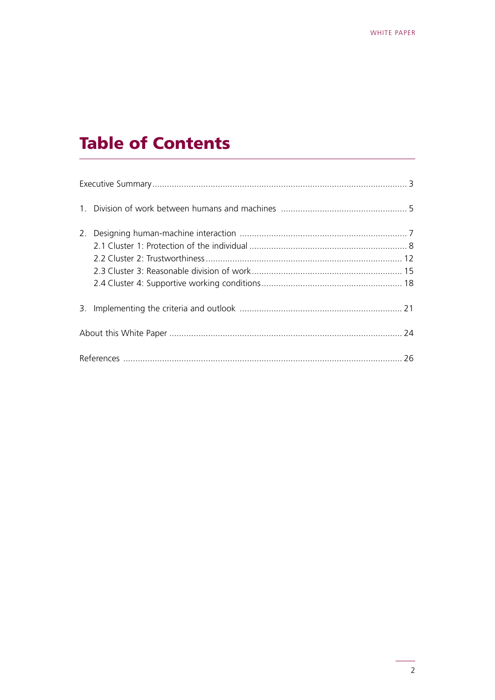# **Table of Contents**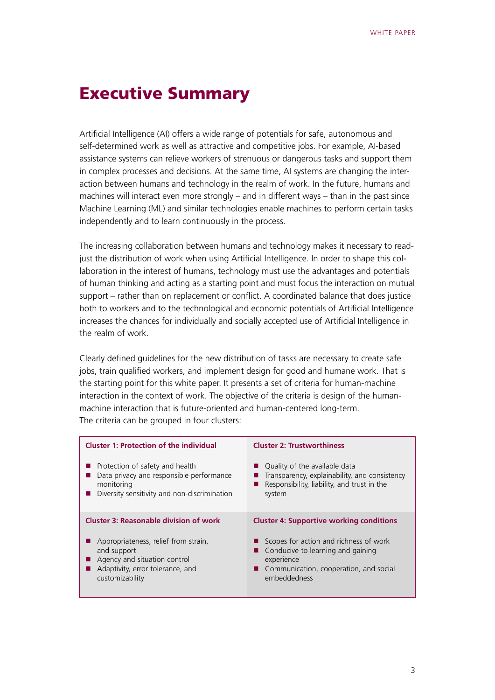# <span id="page-2-0"></span>Executive Summary

Artificial Intelligence (AI) offers a wide range of potentials for safe, autonomous and self-determined work as well as attractive and competitive jobs. For example, AI-based assistance systems can relieve workers of strenuous or dangerous tasks and support them in complex processes and decisions. At the same time, AI systems are changing the interaction between humans and technology in the realm of work. In the future, humans and machines will interact even more strongly – and in different ways – than in the past since Machine Learning (ML) and similar technologies enable machines to perform certain tasks independently and to learn continuously in the process.

The increasing collaboration between humans and technology makes it necessary to readjust the distribution of work when using Artificial Intelligence. In order to shape this collaboration in the interest of humans, technology must use the advantages and potentials of human thinking and acting as a starting point and must focus the interaction on mutual support – rather than on replacement or conflict. A coordinated balance that does justice both to workers and to the technological and economic potentials of Artificial Intelligence increases the chances for individually and socially accepted use of Artificial Intelligence in the realm of work.

Clearly defined guidelines for the new distribution of tasks are necessary to create safe jobs, train qualified workers, and implement design for good and humane work. That is the starting point for this white paper. It presents a set of criteria for human-machine interaction in the context of work. The objective of the criteria is design of the humanmachine interaction that is future-oriented and human-centered long-term. The criteria can be grouped in four clusters:

| <b>Cluster 1: Protection of the individual</b> | <b>Cluster 2: Trustworthiness</b>               |
|------------------------------------------------|-------------------------------------------------|
| Protection of safety and health                | Quality of the available data                   |
| Data privacy and responsible performance       | Transparency, explainability, and consistency   |
| monitoring                                     | Responsibility, liability, and trust in the     |
| Diversity sensitivity and non-discrimination   | system                                          |
| <b>Cluster 3: Reasonable division of work</b>  | <b>Cluster 4: Supportive working conditions</b> |
| Appropriateness, relief from strain,           | Scopes for action and richness of work          |
| and support                                    | Conducive to learning and gaining               |
| Agency and situation control                   | experience                                      |
| Adaptivity, error tolerance, and               | ■ Communication, cooperation, and social        |
| customizability                                | embeddedness                                    |
|                                                |                                                 |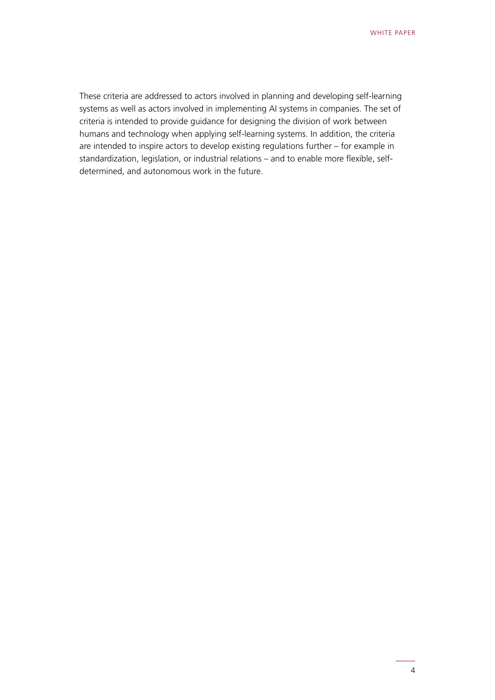These criteria are addressed to actors involved in planning and developing self-learning systems as well as actors involved in implementing AI systems in companies. The set of criteria is intended to provide guidance for designing the division of work between humans and technology when applying self-learning systems. In addition, the criteria are intended to inspire actors to develop existing regulations further – for example in standardization, legislation, or industrial relations – and to enable more flexible, selfdetermined, and autonomous work in the future.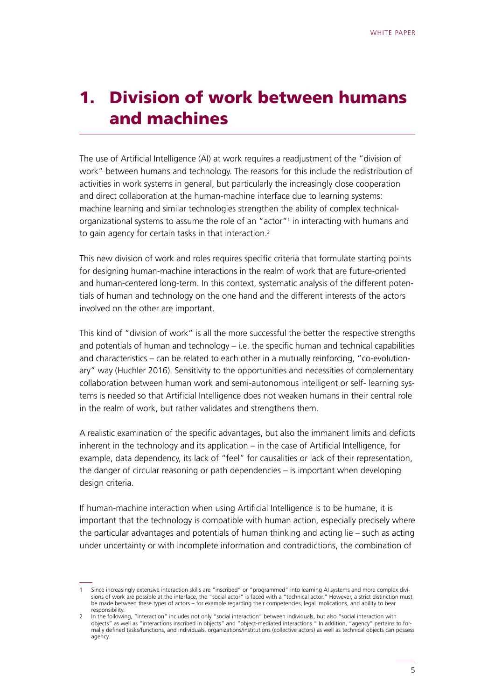# <span id="page-4-0"></span>1. Division of work between humans and machines

The use of Artificial Intelligence (AI) at work requires a readjustment of the "division of work" between humans and technology. The reasons for this include the redistribution of activities in work systems in general, but particularly the increasingly close cooperation and direct collaboration at the human-machine interface due to learning systems: machine learning and similar technologies strengthen the ability of complex technicalorganizational systems to assume the role of an "actor"<sup>1</sup> in interacting with humans and to gain agency for certain tasks in that interaction.2

This new division of work and roles requires specific criteria that formulate starting points for designing human-machine interactions in the realm of work that are future-oriented and human-centered long-term. In this context, systematic analysis of the different potentials of human and technology on the one hand and the different interests of the actors involved on the other are important.

This kind of "division of work" is all the more successful the better the respective strengths and potentials of human and technology – i.e. the specific human and technical capabilities and characteristics – can be related to each other in a mutually reinforcing, "co-evolutionary" way (Huchler 2016). Sensitivity to the opportunities and necessities of complementary collaboration between human work and semi-autonomous intelligent or self- learning systems is needed so that Artificial Intelligence does not weaken humans in their central role in the realm of work, but rather validates and strengthens them.

A realistic examination of the specific advantages, but also the immanent limits and deficits inherent in the technology and its application – in the case of Artificial Intelligence, for example, data dependency, its lack of "feel" for causalities or lack of their representation, the danger of circular reasoning or path dependencies – is important when developing design criteria.

If human-machine interaction when using Artificial Intelligence is to be humane, it is important that the technology is compatible with human action, especially precisely where the particular advantages and potentials of human thinking and acting lie – such as acting under uncertainty or with incomplete information and contradictions, the combination of

Since increasingly extensive interaction skills are "inscribed" or "programmed" into learning AI systems and more complex divisions of work are possible at the interface, the "social actor" is faced with a "technical actor." However, a strict distinction must be made between these types of actors – for example regarding their competencies, legal implications, and ability to bear responsibility.

<sup>2</sup> In the following, "interaction" includes not only "social interaction" between individuals, but also "social interaction with objects" as well as "interactions inscribed in objects" and "object-mediated interactions." In addition, "agency" pertains to formally defined tasks/functions, and individuals, organizations/institutions (collective actors) as well as technical objects can possess agency.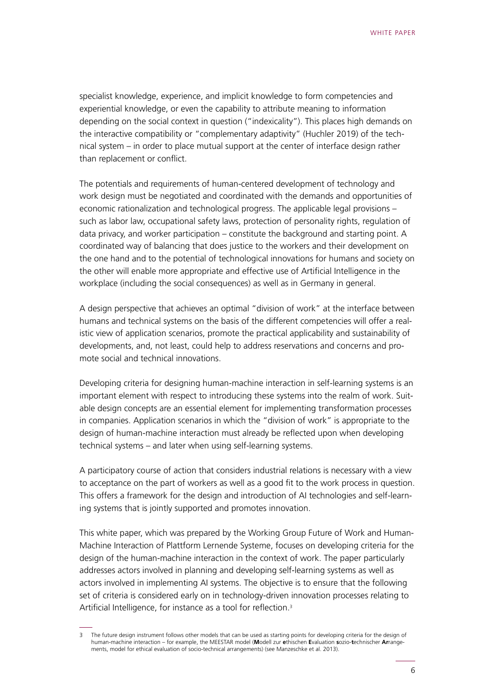specialist knowledge, experience, and implicit knowledge to form competencies and experiential knowledge, or even the capability to attribute meaning to information depending on the social context in question ("indexicality"). This places high demands on the interactive compatibility or "complementary adaptivity" (Huchler 2019) of the technical system – in order to place mutual support at the center of interface design rather than replacement or conflict.

The potentials and requirements of human-centered development of technology and work design must be negotiated and coordinated with the demands and opportunities of economic rationalization and technological progress. The applicable legal provisions – such as labor law, occupational safety laws, protection of personality rights, regulation of data privacy, and worker participation – constitute the background and starting point. A coordinated way of balancing that does justice to the workers and their development on the one hand and to the potential of technological innovations for humans and society on the other will enable more appropriate and effective use of Artificial Intelligence in the workplace (including the social consequences) as well as in Germany in general.

A design perspective that achieves an optimal "division of work" at the interface between humans and technical systems on the basis of the different competencies will offer a realistic view of application scenarios, promote the practical applicability and sustainability of developments, and, not least, could help to address reservations and concerns and promote social and technical innovations.

Developing criteria for designing human-machine interaction in self-learning systems is an important element with respect to introducing these systems into the realm of work. Suitable design concepts are an essential element for implementing transformation processes in companies. Application scenarios in which the "division of work" is appropriate to the design of human-machine interaction must already be reflected upon when developing technical systems – and later when using self-learning systems.

A participatory course of action that considers industrial relations is necessary with a view to acceptance on the part of workers as well as a good fit to the work process in question. This offers a framework for the design and introduction of AI technologies and self-learning systems that is jointly supported and promotes innovation.

This white paper, which was prepared by the Working Group Future of Work and Human-Machine Interaction of Plattform Lernende Systeme, focuses on developing criteria for the design of the human-machine interaction in the context of work. The paper particularly addresses actors involved in planning and developing self-learning systems as well as actors involved in implementing AI systems. The objective is to ensure that the following set of criteria is considered early on in technology-driven innovation processes relating to Artificial Intelligence, for instance as a tool for reflection.<sup>3</sup>

The future design instrument follows other models that can be used as starting points for developing criteria for the design of human-machine interaction – for example, the MEESTAR model (**M**odell zur **e**thischen **E**valuation **s**ozio-**t**echnischer **Ar**rangements, model for ethical evaluation of socio-technical arrangements) (see Manzeschke et al. 2013).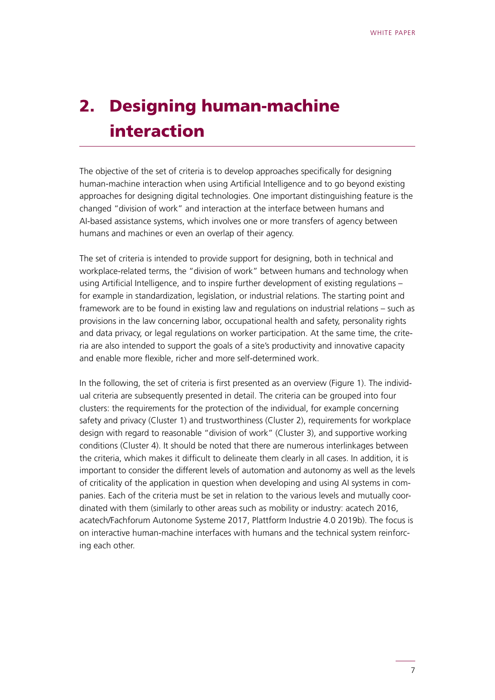# <span id="page-6-0"></span>2. Designing human-machine interaction

The objective of the set of criteria is to develop approaches specifically for designing human-machine interaction when using Artificial Intelligence and to go beyond existing approaches for designing digital technologies. One important distinguishing feature is the changed "division of work" and interaction at the interface between humans and AI-based assistance systems, which involves one or more transfers of agency between humans and machines or even an overlap of their agency.

The set of criteria is intended to provide support for designing, both in technical and workplace-related terms, the "division of work" between humans and technology when using Artificial Intelligence, and to inspire further development of existing regulations – for example in standardization, legislation, or industrial relations. The starting point and framework are to be found in existing law and regulations on industrial relations – such as provisions in the law concerning labor, occupational health and safety, personality rights and data privacy, or legal regulations on worker participation. At the same time, the criteria are also intended to support the goals of a site's productivity and innovative capacity and enable more flexible, richer and more self-determined work.

In the following, the set of criteria is first presented as an overview (Figure 1). The individual criteria are subsequently presented in detail. The criteria can be grouped into four clusters: the requirements for the protection of the individual, for example concerning safety and privacy (Cluster 1) and trustworthiness (Cluster 2), requirements for workplace design with regard to reasonable "division of work" (Cluster 3), and supportive working conditions (Cluster 4). It should be noted that there are numerous interlinkages between the criteria, which makes it difficult to delineate them clearly in all cases. In addition, it is important to consider the different levels of automation and autonomy as well as the levels of criticality of the application in question when developing and using AI systems in companies. Each of the criteria must be set in relation to the various levels and mutually coordinated with them (similarly to other areas such as mobility or industry: acatech 2016, acatech/Fachforum Autonome Systeme 2017, Plattform Industrie 4.0 2019b). The focus is on interactive human-machine interfaces with humans and the technical system reinforcing each other.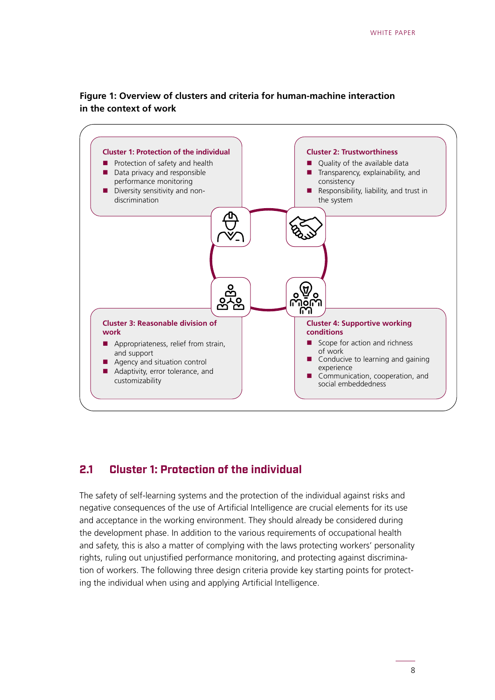

### <span id="page-7-0"></span>**Figure 1: Overview of clusters and criteria for human-machine interaction in the context of work**

### **2.1 Cluster 1: Protection of the individual**

The safety of self-learning systems and the protection of the individual against risks and negative consequences of the use of Artificial Intelligence are crucial elements for its use and acceptance in the working environment. They should already be considered during the development phase. In addition to the various requirements of occupational health and safety, this is also a matter of complying with the laws protecting workers' personality rights, ruling out unjustified performance monitoring, and protecting against discrimination of workers. The following three design criteria provide key starting points for protecting the individual when using and applying Artificial Intelligence.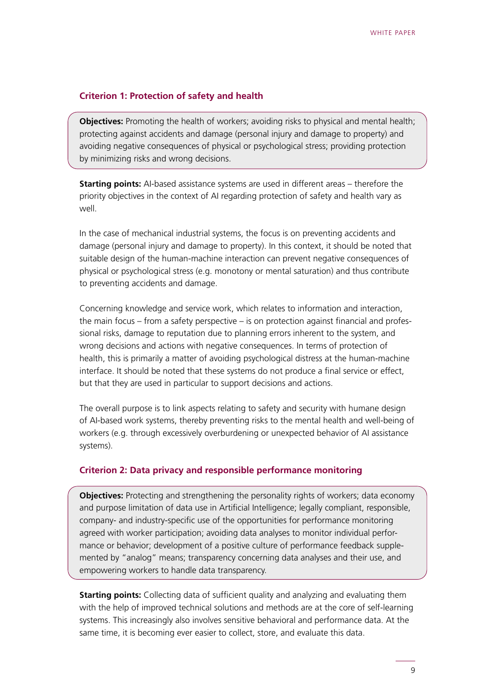#### **Criterion 1: Protection of safety and health**

**Objectives:** Promoting the health of workers; avoiding risks to physical and mental health; protecting against accidents and damage (personal injury and damage to property) and avoiding negative consequences of physical or psychological stress; providing protection by minimizing risks and wrong decisions.

**Starting points:** AI-based assistance systems are used in different areas – therefore the priority objectives in the context of AI regarding protection of safety and health vary as well.

In the case of mechanical industrial systems, the focus is on preventing accidents and damage (personal injury and damage to property). In this context, it should be noted that suitable design of the human-machine interaction can prevent negative consequences of physical or psychological stress (e.g. monotony or mental saturation) and thus contribute to preventing accidents and damage.

Concerning knowledge and service work, which relates to information and interaction, the main focus – from a safety perspective – is on protection against financial and professional risks, damage to reputation due to planning errors inherent to the system, and wrong decisions and actions with negative consequences. In terms of protection of health, this is primarily a matter of avoiding psychological distress at the human-machine interface. It should be noted that these systems do not produce a final service or effect, but that they are used in particular to support decisions and actions.

The overall purpose is to link aspects relating to safety and security with humane design of AI-based work systems, thereby preventing risks to the mental health and well-being of workers (e.g. through excessively overburdening or unexpected behavior of AI assistance systems).

#### **Criterion 2: Data privacy and responsible performance monitoring**

**Objectives:** Protecting and strengthening the personality rights of workers; data economy and purpose limitation of data use in Artificial Intelligence; legally compliant, responsible, company- and industry-specific use of the opportunities for performance monitoring agreed with worker participation; avoiding data analyses to monitor individual performance or behavior; development of a positive culture of performance feedback supplemented by "analog" means; transparency concerning data analyses and their use, and empowering workers to handle data transparency.

**Starting points:** Collecting data of sufficient quality and analyzing and evaluating them with the help of improved technical solutions and methods are at the core of self-learning systems. This increasingly also involves sensitive behavioral and performance data. At the same time, it is becoming ever easier to collect, store, and evaluate this data.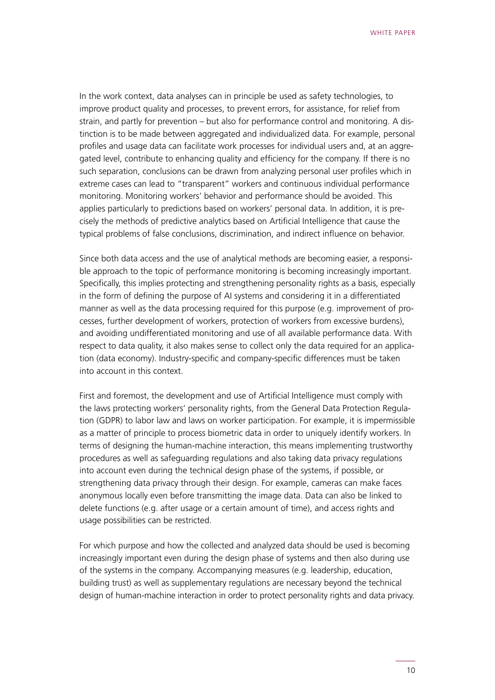In the work context, data analyses can in principle be used as safety technologies, to improve product quality and processes, to prevent errors, for assistance, for relief from strain, and partly for prevention – but also for performance control and monitoring. A distinction is to be made between aggregated and individualized data. For example, personal profiles and usage data can facilitate work processes for individual users and, at an aggregated level, contribute to enhancing quality and efficiency for the company. If there is no such separation, conclusions can be drawn from analyzing personal user profiles which in extreme cases can lead to "transparent" workers and continuous individual performance monitoring. Monitoring workers' behavior and performance should be avoided. This applies particularly to predictions based on workers' personal data. In addition, it is precisely the methods of predictive analytics based on Artificial Intelligence that cause the typical problems of false conclusions, discrimination, and indirect influence on behavior.

Since both data access and the use of analytical methods are becoming easier, a responsible approach to the topic of performance monitoring is becoming increasingly important. Specifically, this implies protecting and strengthening personality rights as a basis, especially in the form of defining the purpose of AI systems and considering it in a differentiated manner as well as the data processing required for this purpose (e.g. improvement of processes, further development of workers, protection of workers from excessive burdens), and avoiding undifferentiated monitoring and use of all available performance data. With respect to data quality, it also makes sense to collect only the data required for an application (data economy). Industry-specific and company-specific differences must be taken into account in this context.

First and foremost, the development and use of Artificial Intelligence must comply with the laws protecting workers' personality rights, from the General Data Protection Regulation (GDPR) to labor law and laws on worker participation. For example, it is impermissible as a matter of principle to process biometric data in order to uniquely identify workers. In terms of designing the human-machine interaction, this means implementing trustworthy procedures as well as safeguarding regulations and also taking data privacy regulations into account even during the technical design phase of the systems, if possible, or strengthening data privacy through their design. For example, cameras can make faces anonymous locally even before transmitting the image data. Data can also be linked to delete functions (e.g. after usage or a certain amount of time), and access rights and usage possibilities can be restricted.

For which purpose and how the collected and analyzed data should be used is becoming increasingly important even during the design phase of systems and then also during use of the systems in the company. Accompanying measures (e.g. leadership, education, building trust) as well as supplementary regulations are necessary beyond the technical design of human-machine interaction in order to protect personality rights and data privacy.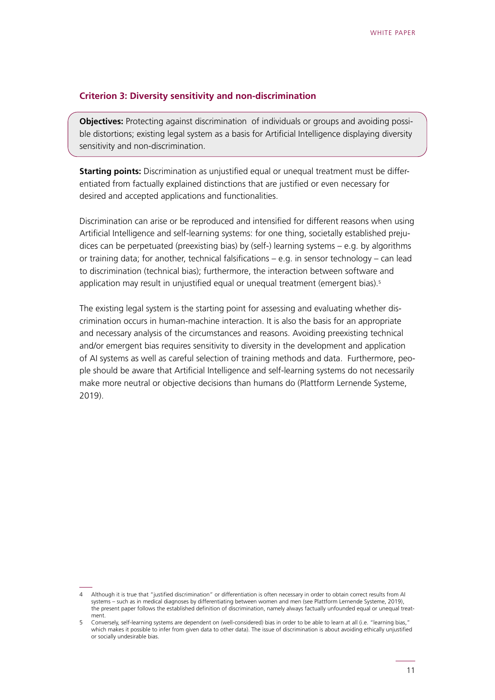#### **Criterion 3: Diversity sensitivity and non-discrimination**

**Objectives:** Protecting against discrimination of individuals or groups and avoiding possible distortions; existing legal system as a basis for Artificial Intelligence displaying diversity sensitivity and non-discrimination.

**Starting points:** Discrimination as uniustified equal or unequal treatment must be differentiated from factually explained distinctions that are justified or even necessary for desired and accepted applications and functionalities.

Discrimination can arise or be reproduced and intensified for different reasons when using Artificial Intelligence and self-learning systems: for one thing, societally established prejudices can be perpetuated (preexisting bias) by (self-) learning systems – e.g. by algorithms or training data; for another, technical falsifications – e.g. in sensor technology – can lead to discrimination (technical bias); furthermore, the interaction between software and application may result in unjustified equal or unequal treatment (emergent bias).<sup>5</sup>

The existing legal system is the starting point for assessing and evaluating whether discrimination occurs in human-machine interaction. It is also the basis for an appropriate and necessary analysis of the circumstances and reasons. Avoiding preexisting technical and/or emergent bias requires sensitivity to diversity in the development and application of AI systems as well as careful selection of training methods and data. Furthermore, people should be aware that Artificial Intelligence and self-learning systems do not necessarily make more neutral or objective decisions than humans do (Plattform Lernende Systeme, 2019).

<sup>4</sup> Although it is true that "justified discrimination" or differentiation is often necessary in order to obtain correct results from AI systems – such as in medical diagnoses by differentiating between women and men (see Plattform Lernende Systeme, 2019), the present paper follows the established definition of discrimination, namely always factually unfounded equal or unequal treatment.

<sup>5</sup> Conversely, self-learning systems are dependent on (well-considered) bias in order to be able to learn at all (i.e. "learning bias," which makes it possible to infer from given data to other data). The issue of discrimination is about avoiding ethically unjustified or socially undesirable bias.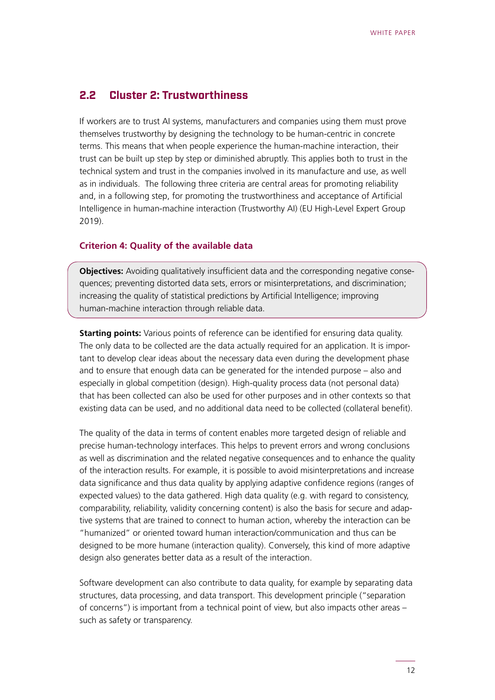### <span id="page-11-0"></span>**2.2 Cluster 2: Trustworthiness**

If workers are to trust AI systems, manufacturers and companies using them must prove themselves trustworthy by designing the technology to be human-centric in concrete terms. This means that when people experience the human-machine interaction, their trust can be built up step by step or diminished abruptly. This applies both to trust in the technical system and trust in the companies involved in its manufacture and use, as well as in individuals. The following three criteria are central areas for promoting reliability and, in a following step, for promoting the trustworthiness and acceptance of Artificial Intelligence in human-machine interaction (Trustworthy AI) (EU High-Level Expert Group 2019).

#### **Criterion 4: Quality of the available data**

**Objectives:** Avoiding qualitatively insufficient data and the corresponding negative consequences; preventing distorted data sets, errors or misinterpretations, and discrimination; increasing the quality of statistical predictions by Artificial Intelligence; improving human-machine interaction through reliable data.

**Starting points:** Various points of reference can be identified for ensuring data quality. The only data to be collected are the data actually required for an application. It is important to develop clear ideas about the necessary data even during the development phase and to ensure that enough data can be generated for the intended purpose – also and especially in global competition (design). High-quality process data (not personal data) that has been collected can also be used for other purposes and in other contexts so that existing data can be used, and no additional data need to be collected (collateral benefit).

The quality of the data in terms of content enables more targeted design of reliable and precise human-technology interfaces. This helps to prevent errors and wrong conclusions as well as discrimination and the related negative consequences and to enhance the quality of the interaction results. For example, it is possible to avoid misinterpretations and increase data significance and thus data quality by applying adaptive confidence regions (ranges of expected values) to the data gathered. High data quality (e.g. with regard to consistency, comparability, reliability, validity concerning content) is also the basis for secure and adaptive systems that are trained to connect to human action, whereby the interaction can be "humanized" or oriented toward human interaction/communication and thus can be designed to be more humane (interaction quality). Conversely, this kind of more adaptive design also generates better data as a result of the interaction.

Software development can also contribute to data quality, for example by separating data structures, data processing, and data transport. This development principle ("separation of concerns") is important from a technical point of view, but also impacts other areas – such as safety or transparency.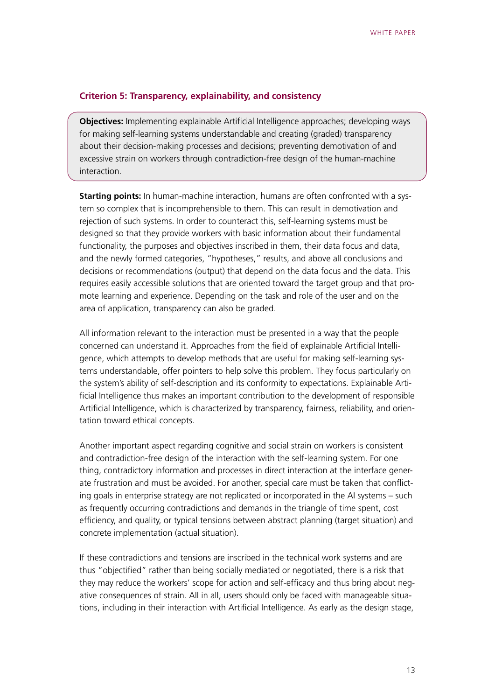#### **Criterion 5: Transparency, explainability, and consistency**

**Objectives:** Implementing explainable Artificial Intelligence approaches; developing ways for making self-learning systems understandable and creating (graded) transparency about their decision-making processes and decisions; preventing demotivation of and excessive strain on workers through contradiction-free design of the human-machine interaction.

**Starting points:** In human-machine interaction, humans are often confronted with a system so complex that is incomprehensible to them. This can result in demotivation and rejection of such systems. In order to counteract this, self-learning systems must be designed so that they provide workers with basic information about their fundamental functionality, the purposes and objectives inscribed in them, their data focus and data, and the newly formed categories, "hypotheses," results, and above all conclusions and decisions or recommendations (output) that depend on the data focus and the data. This requires easily accessible solutions that are oriented toward the target group and that promote learning and experience. Depending on the task and role of the user and on the area of application, transparency can also be graded.

All information relevant to the interaction must be presented in a way that the people concerned can understand it. Approaches from the field of explainable Artificial Intelligence, which attempts to develop methods that are useful for making self-learning systems understandable, offer pointers to help solve this problem. They focus particularly on the system's ability of self-description and its conformity to expectations. Explainable Artificial Intelligence thus makes an important contribution to the development of responsible Artificial Intelligence, which is characterized by transparency, fairness, reliability, and orientation toward ethical concepts.

Another important aspect regarding cognitive and social strain on workers is consistent and contradiction-free design of the interaction with the self-learning system. For one thing, contradictory information and processes in direct interaction at the interface generate frustration and must be avoided. For another, special care must be taken that conflicting goals in enterprise strategy are not replicated or incorporated in the AI systems – such as frequently occurring contradictions and demands in the triangle of time spent, cost efficiency, and quality, or typical tensions between abstract planning (target situation) and concrete implementation (actual situation).

If these contradictions and tensions are inscribed in the technical work systems and are thus "objectified" rather than being socially mediated or negotiated, there is a risk that they may reduce the workers' scope for action and self-efficacy and thus bring about negative consequences of strain. All in all, users should only be faced with manageable situations, including in their interaction with Artificial Intelligence. As early as the design stage,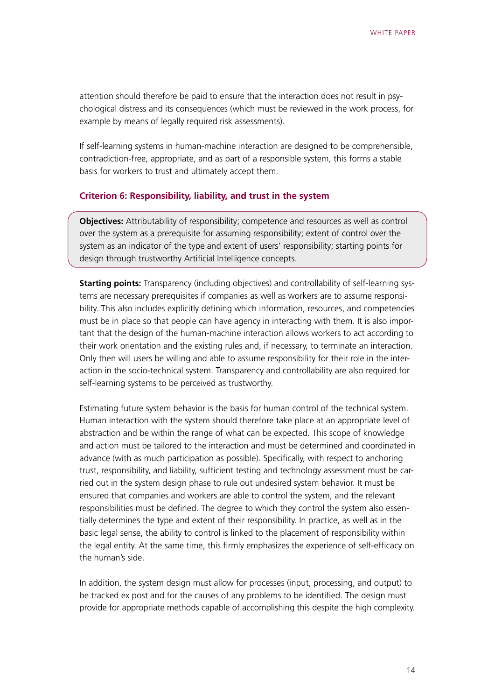attention should therefore be paid to ensure that the interaction does not result in psychological distress and its consequences (which must be reviewed in the work process, for example by means of legally required risk assessments).

If self-learning systems in human-machine interaction are designed to be comprehensible, contradiction-free, appropriate, and as part of a responsible system, this forms a stable basis for workers to trust and ultimately accept them.

#### **Criterion 6: Responsibility, liability, and trust in the system**

**Objectives:** Attributability of responsibility; competence and resources as well as control over the system as a prerequisite for assuming responsibility; extent of control over the system as an indicator of the type and extent of users' responsibility; starting points for design through trustworthy Artificial Intelligence concepts.

**Starting points:** Transparency (including objectives) and controllability of self-learning systems are necessary prerequisites if companies as well as workers are to assume responsibility. This also includes explicitly defining which information, resources, and competencies must be in place so that people can have agency in interacting with them. It is also important that the design of the human-machine interaction allows workers to act according to their work orientation and the existing rules and, if necessary, to terminate an interaction. Only then will users be willing and able to assume responsibility for their role in the interaction in the socio-technical system. Transparency and controllability are also required for self-learning systems to be perceived as trustworthy.

Estimating future system behavior is the basis for human control of the technical system. Human interaction with the system should therefore take place at an appropriate level of abstraction and be within the range of what can be expected. This scope of knowledge and action must be tailored to the interaction and must be determined and coordinated in advance (with as much participation as possible). Specifically, with respect to anchoring trust, responsibility, and liability, sufficient testing and technology assessment must be carried out in the system design phase to rule out undesired system behavior. It must be ensured that companies and workers are able to control the system, and the relevant responsibilities must be defined. The degree to which they control the system also essentially determines the type and extent of their responsibility. In practice, as well as in the basic legal sense, the ability to control is linked to the placement of responsibility within the legal entity. At the same time, this firmly emphasizes the experience of self-efficacy on the human's side.

In addition, the system design must allow for processes (input, processing, and output) to be tracked ex post and for the causes of any problems to be identified. The design must provide for appropriate methods capable of accomplishing this despite the high complexity.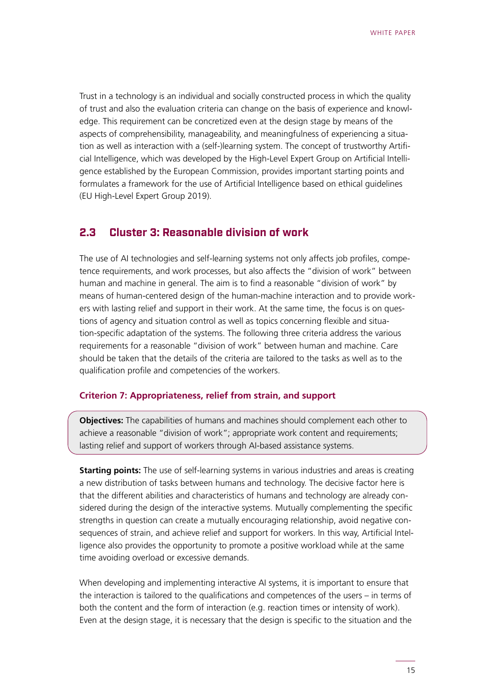<span id="page-14-0"></span>Trust in a technology is an individual and socially constructed process in which the quality of trust and also the evaluation criteria can change on the basis of experience and knowledge. This requirement can be concretized even at the design stage by means of the aspects of comprehensibility, manageability, and meaningfulness of experiencing a situation as well as interaction with a (self-)learning system. The concept of trustworthy Artificial Intelligence, which was developed by the High-Level Expert Group on Artificial Intelligence established by the European Commission, provides important starting points and formulates a framework for the use of Artificial Intelligence based on ethical guidelines (EU High-Level Expert Group 2019).

### **2.3 Cluster 3: Reasonable division of work**

The use of AI technologies and self-learning systems not only affects job profiles, competence requirements, and work processes, but also affects the "division of work" between human and machine in general. The aim is to find a reasonable "division of work" by means of human-centered design of the human-machine interaction and to provide workers with lasting relief and support in their work. At the same time, the focus is on questions of agency and situation control as well as topics concerning flexible and situation-specific adaptation of the systems. The following three criteria address the various requirements for a reasonable "division of work" between human and machine. Care should be taken that the details of the criteria are tailored to the tasks as well as to the qualification profile and competencies of the workers.

#### **Criterion 7: Appropriateness, relief from strain, and support**

**Objectives:** The capabilities of humans and machines should complement each other to achieve a reasonable "division of work"; appropriate work content and requirements; lasting relief and support of workers through AI-based assistance systems.

**Starting points:** The use of self-learning systems in various industries and areas is creating a new distribution of tasks between humans and technology. The decisive factor here is that the different abilities and characteristics of humans and technology are already considered during the design of the interactive systems. Mutually complementing the specific strengths in question can create a mutually encouraging relationship, avoid negative consequences of strain, and achieve relief and support for workers. In this way, Artificial Intelligence also provides the opportunity to promote a positive workload while at the same time avoiding overload or excessive demands.

When developing and implementing interactive AI systems, it is important to ensure that the interaction is tailored to the qualifications and competences of the users – in terms of both the content and the form of interaction (e.g. reaction times or intensity of work). Even at the design stage, it is necessary that the design is specific to the situation and the

15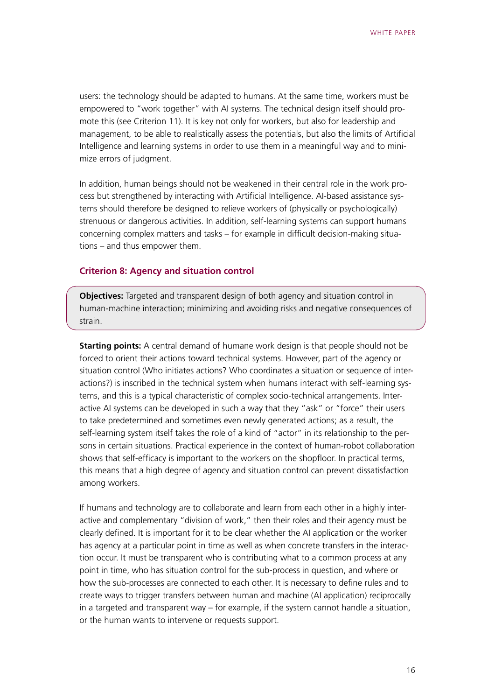users: the technology should be adapted to humans. At the same time, workers must be empowered to "work together" with AI systems. The technical design itself should promote this (see Criterion 11). It is key not only for workers, but also for leadership and management, to be able to realistically assess the potentials, but also the limits of Artificial Intelligence and learning systems in order to use them in a meaningful way and to minimize errors of judgment.

In addition, human beings should not be weakened in their central role in the work process but strengthened by interacting with Artificial Intelligence. AI-based assistance systems should therefore be designed to relieve workers of (physically or psychologically) strenuous or dangerous activities. In addition, self-learning systems can support humans concerning complex matters and tasks – for example in difficult decision-making situations – and thus empower them.

#### **Criterion 8: Agency and situation control**

**Objectives:** Targeted and transparent design of both agency and situation control in human-machine interaction; minimizing and avoiding risks and negative consequences of strain.

**Starting points:** A central demand of humane work design is that people should not be forced to orient their actions toward technical systems. However, part of the agency or situation control (Who initiates actions? Who coordinates a situation or sequence of interactions?) is inscribed in the technical system when humans interact with self-learning systems, and this is a typical characteristic of complex socio-technical arrangements. Interactive AI systems can be developed in such a way that they "ask" or "force" their users to take predetermined and sometimes even newly generated actions; as a result, the self-learning system itself takes the role of a kind of "actor" in its relationship to the persons in certain situations. Practical experience in the context of human-robot collaboration shows that self-efficacy is important to the workers on the shopfloor. In practical terms, this means that a high degree of agency and situation control can prevent dissatisfaction among workers.

If humans and technology are to collaborate and learn from each other in a highly interactive and complementary "division of work," then their roles and their agency must be clearly defined. It is important for it to be clear whether the AI application or the worker has agency at a particular point in time as well as when concrete transfers in the interaction occur. It must be transparent who is contributing what to a common process at any point in time, who has situation control for the sub-process in question, and where or how the sub-processes are connected to each other. It is necessary to define rules and to create ways to trigger transfers between human and machine (AI application) reciprocally in a targeted and transparent way – for example, if the system cannot handle a situation, or the human wants to intervene or requests support.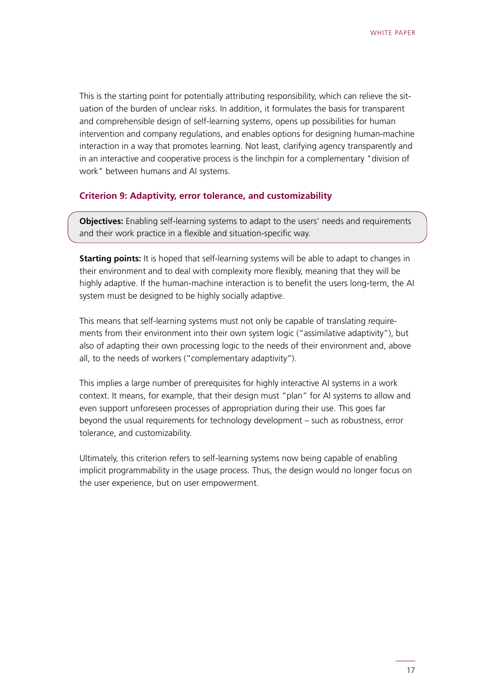This is the starting point for potentially attributing responsibility, which can relieve the situation of the burden of unclear risks. In addition, it formulates the basis for transparent and comprehensible design of self-learning systems, opens up possibilities for human intervention and company regulations, and enables options for designing human-machine interaction in a way that promotes learning. Not least, clarifying agency transparently and in an interactive and cooperative process is the linchpin for a complementary "division of work" between humans and AI systems.

#### **Criterion 9: Adaptivity, error tolerance, and customizability**

**Objectives:** Enabling self-learning systems to adapt to the users' needs and requirements and their work practice in a flexible and situation-specific way.

**Starting points:** It is hoped that self-learning systems will be able to adapt to changes in their environment and to deal with complexity more flexibly, meaning that they will be highly adaptive. If the human-machine interaction is to benefit the users long-term, the AI system must be designed to be highly socially adaptive.

This means that self-learning systems must not only be capable of translating requirements from their environment into their own system logic ("assimilative adaptivity"), but also of adapting their own processing logic to the needs of their environment and, above all, to the needs of workers ("complementary adaptivity").

This implies a large number of prerequisites for highly interactive AI systems in a work context. It means, for example, that their design must "plan" for AI systems to allow and even support unforeseen processes of appropriation during their use. This goes far beyond the usual requirements for technology development – such as robustness, error tolerance, and customizability.

Ultimately, this criterion refers to self-learning systems now being capable of enabling implicit programmability in the usage process. Thus, the design would no longer focus on the user experience, but on user empowerment.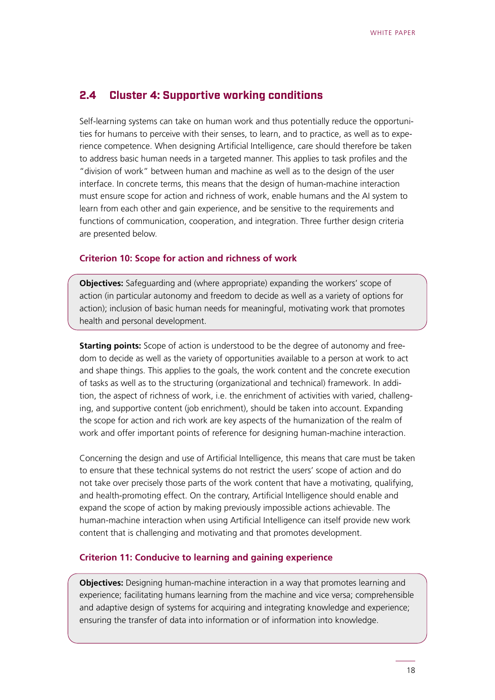### <span id="page-17-0"></span>**2.4 Cluster 4: Supportive working conditions**

Self-learning systems can take on human work and thus potentially reduce the opportunities for humans to perceive with their senses, to learn, and to practice, as well as to experience competence. When designing Artificial Intelligence, care should therefore be taken to address basic human needs in a targeted manner. This applies to task profiles and the "division of work" between human and machine as well as to the design of the user interface. In concrete terms, this means that the design of human-machine interaction must ensure scope for action and richness of work, enable humans and the AI system to learn from each other and gain experience, and be sensitive to the requirements and functions of communication, cooperation, and integration. Three further design criteria are presented below.

#### **Criterion 10: Scope for action and richness of work**

**Objectives:** Safeguarding and (where appropriate) expanding the workers' scope of action (in particular autonomy and freedom to decide as well as a variety of options for action); inclusion of basic human needs for meaningful, motivating work that promotes health and personal development.

**Starting points:** Scope of action is understood to be the degree of autonomy and freedom to decide as well as the variety of opportunities available to a person at work to act and shape things. This applies to the goals, the work content and the concrete execution of tasks as well as to the structuring (organizational and technical) framework. In addition, the aspect of richness of work, i.e. the enrichment of activities with varied, challenging, and supportive content (job enrichment), should be taken into account. Expanding the scope for action and rich work are key aspects of the humanization of the realm of work and offer important points of reference for designing human-machine interaction.

Concerning the design and use of Artificial Intelligence, this means that care must be taken to ensure that these technical systems do not restrict the users' scope of action and do not take over precisely those parts of the work content that have a motivating, qualifying, and health-promoting effect. On the contrary, Artificial Intelligence should enable and expand the scope of action by making previously impossible actions achievable. The human-machine interaction when using Artificial Intelligence can itself provide new work content that is challenging and motivating and that promotes development.

#### **Criterion 11: Conducive to learning and gaining experience**

**Objectives:** Designing human-machine interaction in a way that promotes learning and experience; facilitating humans learning from the machine and vice versa; comprehensible and adaptive design of systems for acquiring and integrating knowledge and experience; ensuring the transfer of data into information or of information into knowledge.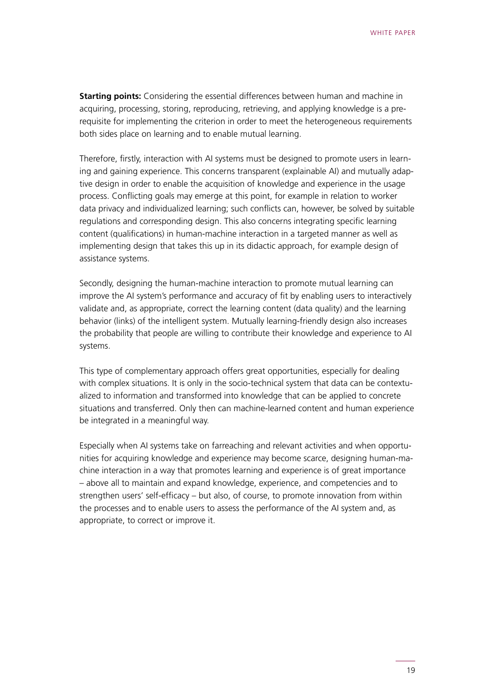**Starting points:** Considering the essential differences between human and machine in acquiring, processing, storing, reproducing, retrieving, and applying knowledge is a prerequisite for implementing the criterion in order to meet the heterogeneous requirements both sides place on learning and to enable mutual learning.

Therefore, firstly, interaction with AI systems must be designed to promote users in learning and gaining experience. This concerns transparent (explainable AI) and mutually adaptive design in order to enable the acquisition of knowledge and experience in the usage process. Conflicting goals may emerge at this point, for example in relation to worker data privacy and individualized learning; such conflicts can, however, be solved by suitable regulations and corresponding design. This also concerns integrating specific learning content (qualifications) in human-machine interaction in a targeted manner as well as implementing design that takes this up in its didactic approach, for example design of assistance systems.

Secondly, designing the human-machine interaction to promote mutual learning can improve the AI system's performance and accuracy of fit by enabling users to interactively validate and, as appropriate, correct the learning content (data quality) and the learning behavior (links) of the intelligent system. Mutually learning-friendly design also increases the probability that people are willing to contribute their knowledge and experience to AI systems.

This type of complementary approach offers great opportunities, especially for dealing with complex situations. It is only in the socio-technical system that data can be contextualized to information and transformed into knowledge that can be applied to concrete situations and transferred. Only then can machine-learned content and human experience be integrated in a meaningful way.

Especially when AI systems take on farreaching and relevant activities and when opportunities for acquiring knowledge and experience may become scarce, designing human-machine interaction in a way that promotes learning and experience is of great importance – above all to maintain and expand knowledge, experience, and competencies and to strengthen users' self-efficacy – but also, of course, to promote innovation from within the processes and to enable users to assess the performance of the AI system and, as appropriate, to correct or improve it.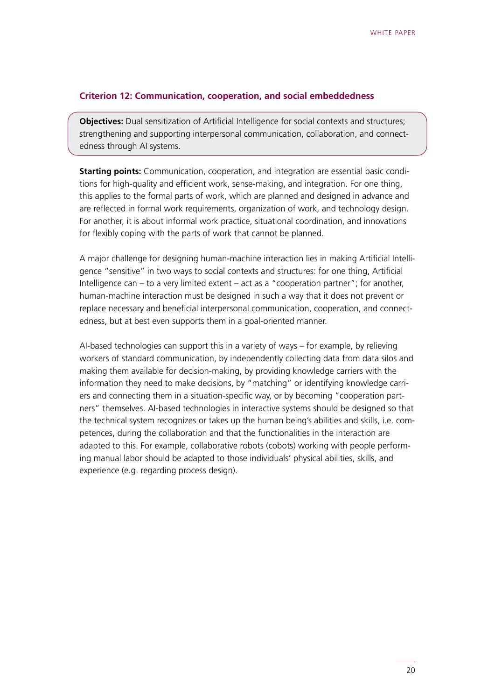#### **Criterion 12: Communication, cooperation, and social embeddedness**

**Objectives:** Dual sensitization of Artificial Intelligence for social contexts and structures; strengthening and supporting interpersonal communication, collaboration, and connectedness through AI systems.

**Starting points:** Communication, cooperation, and integration are essential basic conditions for high-quality and efficient work, sense-making, and integration. For one thing, this applies to the formal parts of work, which are planned and designed in advance and are reflected in formal work requirements, organization of work, and technology design. For another, it is about informal work practice, situational coordination, and innovations for flexibly coping with the parts of work that cannot be planned.

A major challenge for designing human-machine interaction lies in making Artificial Intelligence "sensitive" in two ways to social contexts and structures: for one thing, Artificial Intelligence can – to a very limited extent – act as a "cooperation partner"; for another, human-machine interaction must be designed in such a way that it does not prevent or replace necessary and beneficial interpersonal communication, cooperation, and connectedness, but at best even supports them in a goal-oriented manner.

AI-based technologies can support this in a variety of ways – for example, by relieving workers of standard communication, by independently collecting data from data silos and making them available for decision-making, by providing knowledge carriers with the information they need to make decisions, by "matching" or identifying knowledge carriers and connecting them in a situation-specific way, or by becoming "cooperation partners" themselves. AI-based technologies in interactive systems should be designed so that the technical system recognizes or takes up the human being's abilities and skills, i.e. competences, during the collaboration and that the functionalities in the interaction are adapted to this. For example, collaborative robots (cobots) working with people performing manual labor should be adapted to those individuals' physical abilities, skills, and experience (e.g. regarding process design).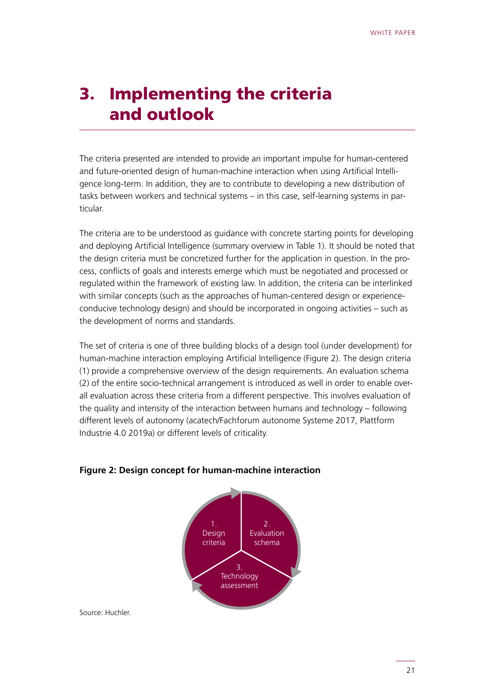# <span id="page-20-0"></span>3. Implementing the criteria and outlook

The criteria presented are intended to provide an important impulse for human-centered and future-oriented design of human-machine interaction when using Artificial Intelligence long-term. In addition, they are to contribute to developing a new distribution of tasks between workers and technical systems – in this case, self-learning systems in particular.

The criteria are to be understood as guidance with concrete starting points for developing and deploying Artificial Intelligence (summary overview in Table 1). It should be noted that the design criteria must be concretized further for the application in question. In the process, conflicts of goals and interests emerge which must be negotiated and processed or regulated within the framework of existing law. In addition, the criteria can be interlinked with similar concepts (such as the approaches of human-centered design or experienceconducive technology design) and should be incorporated in ongoing activities – such as the development of norms and standards.

The set of criteria is one of three building blocks of a design tool (under development) for human-machine interaction employing Artificial Intelligence (Figure 2). The design criteria (1) provide a comprehensive overview of the design requirements. An evaluation schema (2) of the entire socio-technical arrangement is introduced as well in order to enable overall evaluation across these criteria from a different perspective. This involves evaluation of the quality and intensity of the interaction between humans and technology – following different levels of autonomy (acatech/Fachforum autonome Systeme 2017, Plattform Industrie 4.0 2019a) or different levels of criticality.



#### **Figure 2: Design concept for human-machine interaction**

Source: Huchler.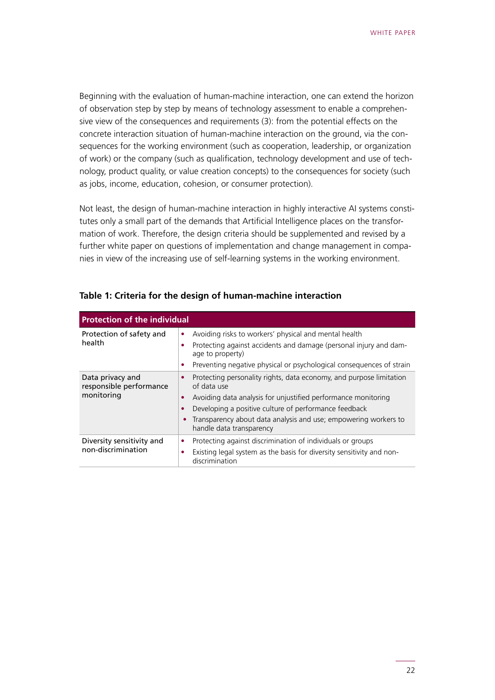Beginning with the evaluation of human-machine interaction, one can extend the horizon of observation step by step by means of technology assessment to enable a comprehensive view of the consequences and requirements (3): from the potential effects on the concrete interaction situation of human-machine interaction on the ground, via the consequences for the working environment (such as cooperation, leadership, or organization of work) or the company (such as qualification, technology development and use of technology, product quality, or value creation concepts) to the consequences for society (such as jobs, income, education, cohesion, or consumer protection).

Not least, the design of human-machine interaction in highly interactive AI systems constitutes only a small part of the demands that Artificial Intelligence places on the transformation of work. Therefore, the design criteria should be supplemented and revised by a further white paper on questions of implementation and change management in companies in view of the increasing use of self-learning systems in the working environment.

| <b>Protection of the individual</b>         |                                                                                             |  |  |  |
|---------------------------------------------|---------------------------------------------------------------------------------------------|--|--|--|
| Protection of safety and                    | Avoiding risks to workers' physical and mental health<br>٠                                  |  |  |  |
| health                                      | Protecting against accidents and damage (personal injury and dam-<br>age to property)       |  |  |  |
|                                             | Preventing negative physical or psychological consequences of strain<br>۰                   |  |  |  |
| Data privacy and<br>responsible performance | Protecting personality rights, data economy, and purpose limitation<br>of data use          |  |  |  |
| monitoring                                  | Avoiding data analysis for unjustified performance monitoring                               |  |  |  |
|                                             | Developing a positive culture of performance feedback                                       |  |  |  |
|                                             | Transparency about data analysis and use; empowering workers to<br>handle data transparency |  |  |  |
| Diversity sensitivity and                   | Protecting against discrimination of individuals or groups                                  |  |  |  |
| non-discrimination                          | Existing legal system as the basis for diversity sensitivity and non-<br>discrimination     |  |  |  |

#### **Table 1: Criteria for the design of human-machine interaction**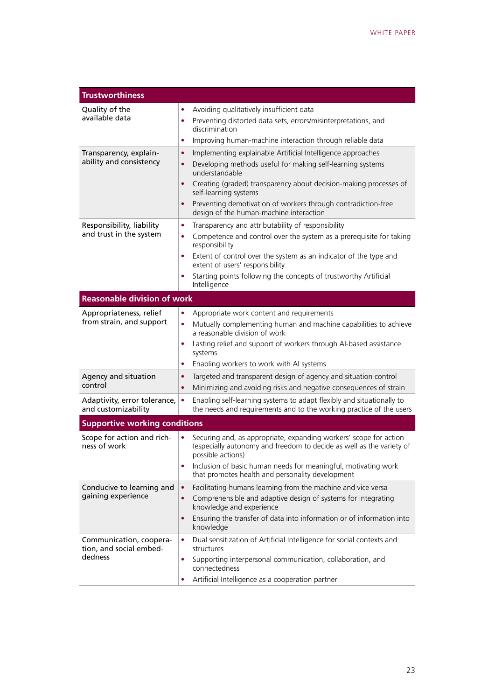| <b>Trustworthiness</b>                                        |                                                                                                                                                                                                                                                                                                                                                                                   |  |  |  |  |
|---------------------------------------------------------------|-----------------------------------------------------------------------------------------------------------------------------------------------------------------------------------------------------------------------------------------------------------------------------------------------------------------------------------------------------------------------------------|--|--|--|--|
| Quality of the<br>available data                              | Avoiding qualitatively insufficient data<br>٠<br>Preventing distorted data sets, errors/misinterpretations, and<br>٠<br>discrimination<br>Improving human-machine interaction through reliable data<br>$\bullet$                                                                                                                                                                  |  |  |  |  |
| Transparency, explain-<br>ability and consistency             | Implementing explainable Artificial Intelligence approaches<br>٠<br>Developing methods useful for making self-learning systems<br>٠<br>understandable<br>Creating (graded) transparency about decision-making processes of<br>$\bullet$<br>self-learning systems<br>Preventing demotivation of workers through contradiction-free<br>٠<br>design of the human-machine interaction |  |  |  |  |
| Responsibility, liability<br>and trust in the system          | Transparency and attributability of responsibility<br>$\bullet$<br>Competence and control over the system as a prerequisite for taking<br>$\bullet$<br>responsibility<br>Extent of control over the system as an indicator of the type and<br>٠<br>extent of users' responsibility<br>Starting points following the concepts of trustworthy Artificial<br>٠<br>Intelligence       |  |  |  |  |
| <b>Reasonable division of work</b>                            |                                                                                                                                                                                                                                                                                                                                                                                   |  |  |  |  |
| Appropriateness, relief<br>from strain, and support           | Appropriate work content and requirements<br>٠<br>Mutually complementing human and machine capabilities to achieve<br>٠<br>a reasonable division of work<br>Lasting relief and support of workers through AI-based assistance<br>٠<br>systems<br>Enabling workers to work with AI systems<br>٠                                                                                    |  |  |  |  |
| Agency and situation<br>control                               | Targeted and transparent design of agency and situation control<br>٠<br>Minimizing and avoiding risks and negative consequences of strain<br>٠                                                                                                                                                                                                                                    |  |  |  |  |
| Adaptivity, error tolerance,<br>and customizability           | Enabling self-learning systems to adapt flexibly and situationally to<br>$\bullet$<br>the needs and requirements and to the working practice of the users                                                                                                                                                                                                                         |  |  |  |  |
| <b>Supportive working conditions</b>                          |                                                                                                                                                                                                                                                                                                                                                                                   |  |  |  |  |
| Scope for action and rich-<br>ness of work                    | Securing and, as appropriate, expanding workers' scope for action<br>٠<br>(especially autonomy and freedom to decide as well as the variety of<br>possible actions)<br>Inclusion of basic human needs for meaningful, motivating work<br>٠<br>that promotes health and personality development                                                                                    |  |  |  |  |
| Conducive to learning and<br>gaining experience               | Facilitating humans learning from the machine and vice versa<br>$\bullet$<br>Comprehensible and adaptive design of systems for integrating<br>٠<br>knowledge and experience<br>Ensuring the transfer of data into information or of information into<br>٠<br>knowledge                                                                                                            |  |  |  |  |
| Communication, coopera-<br>tion, and social embed-<br>dedness | Dual sensitization of Artificial Intelligence for social contexts and<br>٠<br>structures<br>Supporting interpersonal communication, collaboration, and<br>٠<br>connectedness<br>Artificial Intelligence as a cooperation partner<br>٠                                                                                                                                             |  |  |  |  |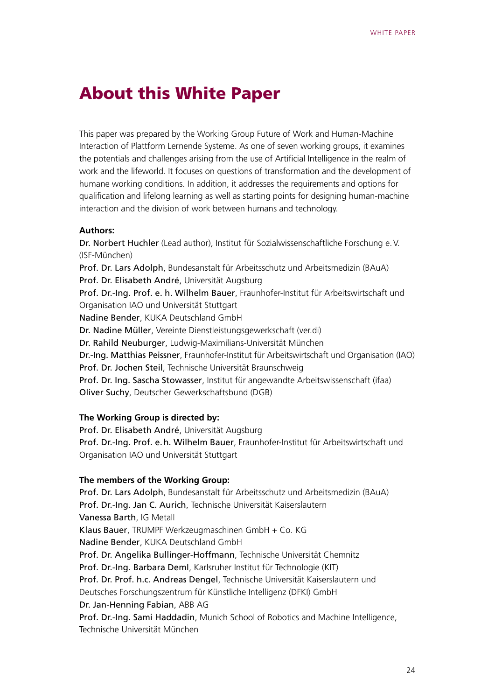# <span id="page-23-0"></span>About this White Paper

This paper was prepared by the Working Group Future of Work and Human-Machine Interaction of Plattform Lernende Systeme. As one of seven working groups, it examines the potentials and challenges arising from the use of Artificial Intelligence in the realm of work and the lifeworld. It focuses on questions of transformation and the development of humane working conditions. In addition, it addresses the requirements and options for qualification and lifelong learning as well as starting points for designing human-machine interaction and the division of work between humans and technology.

#### **Authors:**

Dr. Norbert Huchler (Lead author), Institut für Sozialwissenschaftliche Forschung e.V. (ISF-München) Prof. Dr. Lars Adolph, Bundesanstalt für Arbeitsschutz und Arbeitsmedizin (BAuA) Prof. Dr. Elisabeth André, Universität Augsburg Prof. Dr.-Ing. Prof. e. h. Wilhelm Bauer, Fraunhofer-Institut für Arbeitswirtschaft und Organisation IAO und Universität Stuttgart Nadine Bender, KUKA Deutschland GmbH Dr. Nadine Müller, Vereinte Dienstleistungsgewerkschaft (ver.di) Dr. Rahild Neuburger, Ludwig-Maximilians-Universität München Dr.-Ing. Matthias Peissner, Fraunhofer-Institut für Arbeitswirtschaft und Organisation (IAO) Prof. Dr. Jochen Steil, Technische Universität Braunschweig Prof. Dr. Ing. Sascha Stowasser, Institut für angewandte Arbeitswissenschaft (ifaa) Oliver Suchy, Deutscher Gewerkschaftsbund (DGB)

#### **The Working Group is directed by:**

Prof. Dr. Elisabeth André, Universität Augsburg Prof. Dr.-Ing. Prof. e.h. Wilhelm Bauer, Fraunhofer-Institut für Arbeitswirtschaft und Organisation IAO und Universität Stuttgart

#### **The members of the Working Group:**

Prof. Dr. Lars Adolph, Bundesanstalt für Arbeitsschutz und Arbeitsmedizin (BAuA) Prof. Dr.-Ing. Jan C. Aurich, Technische Universität Kaiserslautern Vanessa Barth, IG Metall Klaus Bauer, TRUMPF Werkzeugmaschinen GmbH + Co. KG Nadine Bender, KUKA Deutschland GmbH Prof. Dr. Angelika Bullinger-Hoffmann, Technische Universität Chemnitz Prof. Dr.-Ing. Barbara Deml, Karlsruher Institut für Technologie (KIT) Prof. Dr. Prof. h.c. Andreas Dengel, Technische Universität Kaiserslautern und Deutsches Forschungszentrum für Künstliche Intelligenz (DFKI) GmbH Dr. Jan-Henning Fabian, ABB AG Prof. Dr.-Ing. Sami Haddadin, Munich School of Robotics and Machine Intelligence, Technische Universität München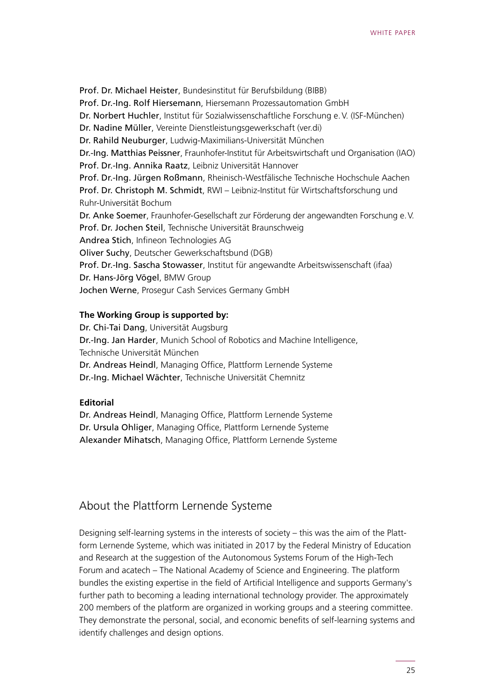Prof. Dr. Michael Heister, Bundesinstitut für Berufsbildung (BIBB) Prof. Dr.-Ing. Rolf Hiersemann, Hiersemann Prozessautomation GmbH Dr. Norbert Huchler, Institut für Sozialwissenschaftliche Forschung e.V. (ISF-München) Dr. Nadine Müller, Vereinte Dienstleistungsgewerkschaft (ver.di) Dr. Rahild Neuburger, Ludwig-Maximilians-Universität München Dr.-Ing. Matthias Peissner, Fraunhofer-Institut für Arbeitswirtschaft und Organisation (IAO) Prof. Dr.-Ing. Annika Raatz, Leibniz Universität Hannover Prof. Dr.-Ing. Jürgen Roßmann, Rheinisch-Westfälische Technische Hochschule Aachen Prof. Dr. Christoph M. Schmidt, RWI – Leibniz-Institut für Wirtschaftsforschung und Ruhr-Universität Bochum Dr. Anke Soemer, Fraunhofer-Gesellschaft zur Förderung der angewandten Forschung e.V. Prof. Dr. Jochen Steil, Technische Universität Braunschweig Andrea Stich, Infineon Technologies AG Oliver Suchy, Deutscher Gewerkschaftsbund (DGB) Prof. Dr.-Ing. Sascha Stowasser, Institut für angewandte Arbeitswissenschaft (ifaa) Dr. Hans-Jörg Vögel, BMW Group Jochen Werne, Prosegur Cash Services Germany GmbH

#### **The Working Group is supported by:**

Dr. Chi-Tai Dang, Universität Augsburg Dr.-Ing. Jan Harder, Munich School of Robotics and Machine Intelligence, Technische Universität München Dr. Andreas Heindl, Managing Office, Plattform Lernende Systeme Dr.-Ing. Michael Wächter, Technische Universität Chemnitz

#### **Editorial**

Dr. Andreas Heindl, Managing Office, Plattform Lernende Systeme Dr. Ursula Ohliger, Managing Office, Plattform Lernende Systeme Alexander Mihatsch, Managing Office, Plattform Lernende Systeme

### About the Plattform Lernende Systeme

Designing self-learning systems in the interests of society – this was the aim of the Plattform Lernende Systeme, which was initiated in 2017 by the Federal Ministry of Education and Research at the suggestion of the Autonomous Systems Forum of the High-Tech Forum and acatech – The National Academy of Science and Engineering. The platform bundles the existing expertise in the field of Artificial Intelligence and supports Germany's further path to becoming a leading international technology provider. The approximately 200 members of the platform are organized in working groups and a steering committee. They demonstrate the personal, social, and economic benefits of self-learning systems and identify challenges and design options.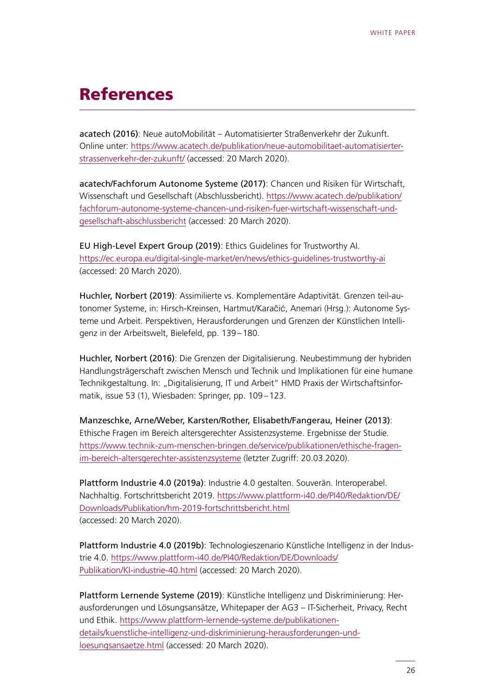# <span id="page-25-0"></span>References

acatech (2016): Neue autoMobilität – Automatisierter Straßenverkehr der Zukunft. Online unter: [https://www.acatech.de/publikation/neue-automobilitaet-automatisierter](https://www.acatech.de/publikation/neue-automobilitaet-automatisierter-strassenverkehr-der-zukunft/)[strassenverkehr-der-zukunft/](https://www.acatech.de/publikation/neue-automobilitaet-automatisierter-strassenverkehr-der-zukunft/) (accessed: 20 March 2020).

acatech/Fachforum Autonome Systeme (2017): Chancen und Risiken für Wirtschaft, Wissenschaft und Gesellschaft (Abschlussbericht). [https://www.acatech.de/publikation/](https://www.acatech.de/publikation/fachforum-autonome-systeme-chancen-und-risiken-fuer-wirtschaft-wissenschaft-und-gesellschaft-abschlussbericht) [fachforum-autonome-systeme-chancen-und-risiken-fuer-wirtschaft-wissenschaft-und](https://www.acatech.de/publikation/fachforum-autonome-systeme-chancen-und-risiken-fuer-wirtschaft-wissenschaft-und-gesellschaft-abschlussbericht)[gesellschaft-abschlussbericht](https://www.acatech.de/publikation/fachforum-autonome-systeme-chancen-und-risiken-fuer-wirtschaft-wissenschaft-und-gesellschaft-abschlussbericht) (accessed: 20 March 2020).

EU High-Level Expert Group (2019): Ethics Guidelines for Trustworthy AI. <https://ec.europa.eu/digital-single-market/en/news/ethics-guidelines-trustworthy-ai> (accessed: 20 March 2020).

Huchler, Norbert (2019): Assimilierte vs. Komplementäre Adaptivität. Grenzen teil-autonomer Systeme, in: Hirsch-Kreinsen, Hartmut/Karačić, Anemari (Hrsg.): Autonome Systeme und Arbeit. Perspektiven, Herausforderungen und Grenzen der Künstlichen Intelligenz in der Arbeitswelt, Bielefeld, pp. 139–180.

Huchler, Norbert (2016): Die Grenzen der Digitalisierung. Neubestimmung der hybriden Handlungsträgerschaft zwischen Mensch und Technik und Implikationen für eine humane Technikgestaltung. In: "Digitalisierung, IT und Arbeit" HMD Praxis der Wirtschaftsinformatik, issue 53 (1), Wiesbaden: Springer, pp. 109–123.

Manzeschke, Arne/Weber, Karsten/Rother, Elisabeth/Fangerau, Heiner (2013): Ethische Fragen im Bereich altersgerechter Assistenzsysteme. Ergebnisse der Studie. [https://www.technik-zum-menschen-bringen.de/service/publikationen/ethische-fragen](https://www.technik-zum-menschen-bringen.de/service/publikationen/ethische-fragen-im-bereich-altersgerechter-assistenzsysteme)[im-bereich-altersgerechter-assistenzsysteme](https://www.technik-zum-menschen-bringen.de/service/publikationen/ethische-fragen-im-bereich-altersgerechter-assistenzsysteme) (letzter Zugriff: 20.03.2020).

Plattform Industrie 4.0 (2019a): Industrie 4.0 gestalten. Souverän. Interoperabel. Nachhaltig. Fortschrittsbericht 2019. [https://www.plattform-i40.de/PI40/Redaktion/DE/](https://www.plattform-i40.de/PI40/Redaktion/DE/Downloads/Publikation/hm-2019-fortschrittsbericht.html) [Downloads/Publikation/hm-2019-fortschrittsbericht.html](https://www.plattform-i40.de/PI40/Redaktion/DE/Downloads/Publikation/hm-2019-fortschrittsbericht.html) (accessed: 20 March 2020).

Plattform Industrie 4.0 (2019b): Technologieszenario Künstliche Intelligenz in der Industrie 4.0. [https://www.plattform-i40.de/PI40/Redaktion/DE/Downloads/](https://www.plattform-i40.de/PI40/Redaktion/DE/Downloads/Publikation/KI-industrie-40.html) [Publikation/KI-industrie-40.html](https://www.plattform-i40.de/PI40/Redaktion/DE/Downloads/Publikation/KI-industrie-40.html) (accessed: 20 March 2020).

Plattform Lernende Systeme (2019): Künstliche Intelligenz und Diskriminierung: Herausforderungen und Lösungsansätze, Whitepaper der AG3 – IT-Sicherheit, Privacy, Recht und Ethik. [https://www.plattform-lernende-systeme.de/publikationen](https://www.plattform-lernende-systeme.de/publikationen-details/kuenstliche-intelligenz-und-diskriminierung-herausforderungen-und-loesungsansaetze.html)[details/kuenstliche-intelligenz-und-diskriminierung-herausforderungen-und](https://www.plattform-lernende-systeme.de/publikationen-details/kuenstliche-intelligenz-und-diskriminierung-herausforderungen-und-loesungsansaetze.html)[loesungsansaetze.html](https://www.plattform-lernende-systeme.de/publikationen-details/kuenstliche-intelligenz-und-diskriminierung-herausforderungen-und-loesungsansaetze.html) (accessed: 20 March 2020).